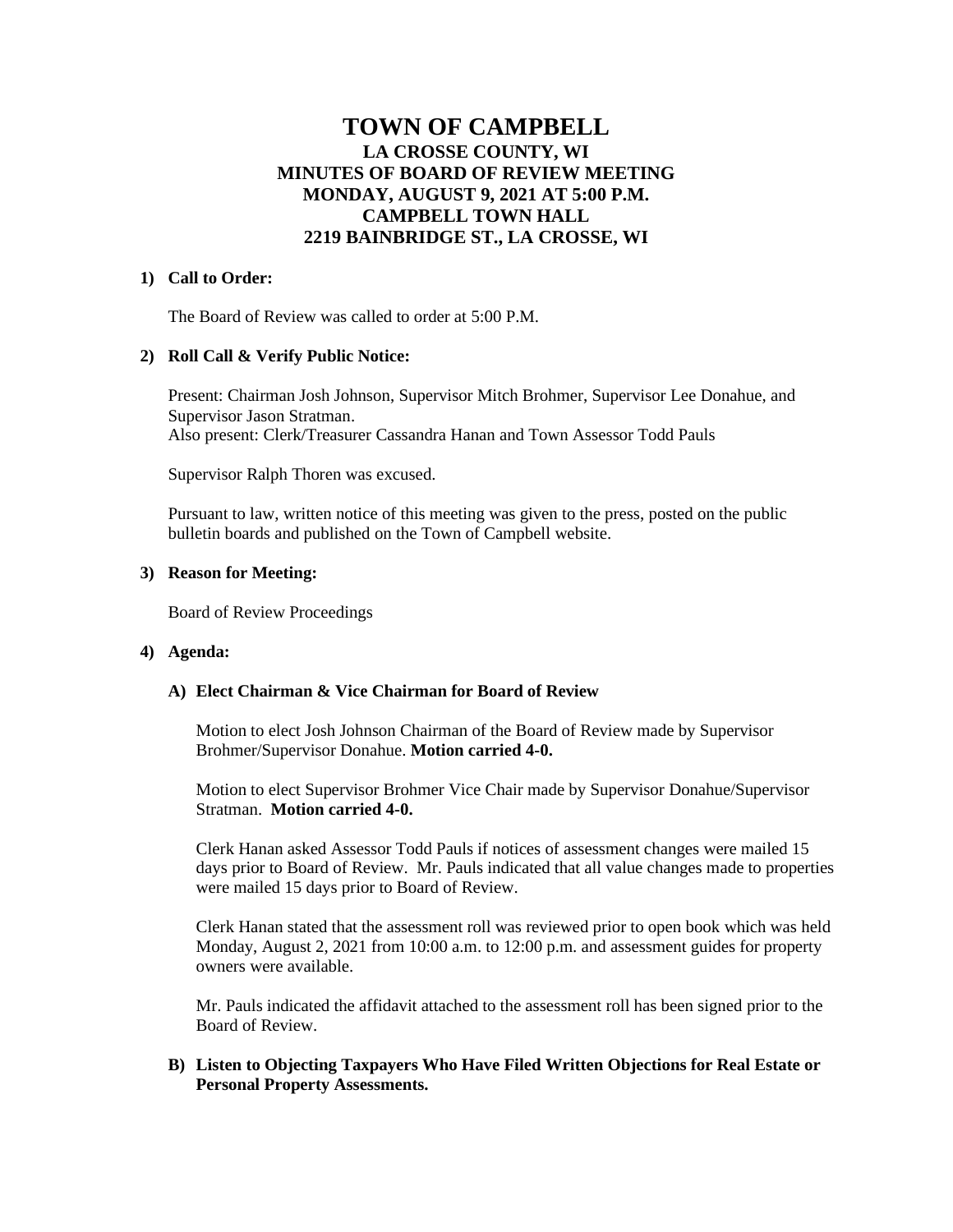# **TOWN OF CAMPBELL LA CROSSE COUNTY, WI MINUTES OF BOARD OF REVIEW MEETING MONDAY, AUGUST 9, 2021 AT 5:00 P.M. CAMPBELL TOWN HALL 2219 BAINBRIDGE ST., LA CROSSE, WI**

## **1) Call to Order:**

The Board of Review was called to order at 5:00 P.M.

# **2) Roll Call & Verify Public Notice:**

Present: Chairman Josh Johnson, Supervisor Mitch Brohmer, Supervisor Lee Donahue, and Supervisor Jason Stratman. Also present: Clerk/Treasurer Cassandra Hanan and Town Assessor Todd Pauls

Supervisor Ralph Thoren was excused.

Pursuant to law, written notice of this meeting was given to the press, posted on the public bulletin boards and published on the Town of Campbell website.

# **3) Reason for Meeting:**

Board of Review Proceedings

#### **4) Agenda:**

#### **A) Elect Chairman & Vice Chairman for Board of Review**

Motion to elect Josh Johnson Chairman of the Board of Review made by Supervisor Brohmer/Supervisor Donahue. **Motion carried 4-0.**

Motion to elect Supervisor Brohmer Vice Chair made by Supervisor Donahue/Supervisor Stratman. **Motion carried 4-0.**

Clerk Hanan asked Assessor Todd Pauls if notices of assessment changes were mailed 15 days prior to Board of Review. Mr. Pauls indicated that all value changes made to properties were mailed 15 days prior to Board of Review.

Clerk Hanan stated that the assessment roll was reviewed prior to open book which was held Monday, August 2, 2021 from 10:00 a.m. to 12:00 p.m. and assessment guides for property owners were available.

Mr. Pauls indicated the affidavit attached to the assessment roll has been signed prior to the Board of Review.

# **B) Listen to Objecting Taxpayers Who Have Filed Written Objections for Real Estate or Personal Property Assessments.**